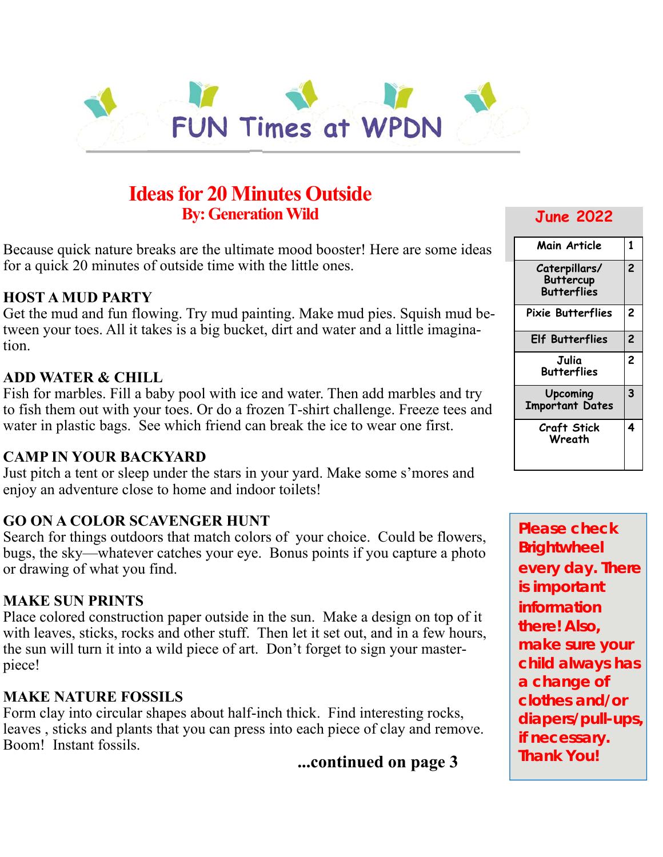

# **Ideas for 20 Minutes Outside By: Generation Wild**

Because quick nature breaks are the ultimate mood booster! Here are some ideas for a quick 20 minutes of outside time with the little ones.

### **HOST A MUD PARTY**

Get the mud and fun flowing. Try mud painting. Make mud pies. Squish mud between your toes. All it takes is a big bucket, dirt and water and a little imagination.

### **ADD WATER & CHILL**

Fish for marbles. Fill a baby pool with ice and water. Then add marbles and try to fish them out with your toes. Or do a frozen T-shirt challenge. Freeze tees and water in plastic bags. See which friend can break the ice to wear one first.

#### **CAMP IN YOUR BACKYARD**

Just pitch a tent or sleep under the stars in your yard. Make some s'mores and enjoy an adventure close to home and indoor toilets!

#### **GO ON A COLOR SCAVENGER HUNT**

Search for things outdoors that match colors of your choice. Could be flowers, bugs, the sky—whatever catches your eye. Bonus points if you capture a photo or drawing of what you find.

#### **MAKE SUN PRINTS**

Place colored construction paper outside in the sun. Make a design on top of it with leaves, sticks, rocks and other stuff. Then let it set out, and in a few hours, the sun will turn it into a wild piece of art. Don't forget to sign your masterpiece!

#### **MAKE NATURE FOSSILS**

Form clay into circular shapes about half-inch thick. Find interesting rocks, leaves , sticks and plants that you can press into each piece of clay and remove. Boom! Instant fossils.

**...continued on page 3**

### **June 2022**

| Main Article                                            | 1                       |
|---------------------------------------------------------|-------------------------|
| Caterpillars/<br><b>Buttercup</b><br><b>Butterflies</b> | $\overline{c}$          |
| <b>Pixie Butterflies</b>                                | $\overline{c}$          |
| <b>Elf Butterflies</b>                                  | $\overline{\mathbf{c}}$ |
| Julia<br>Butterflies                                    | $\overline{c}$          |
| <b>Upcoming</b><br><b>Important Dates</b>               | 3                       |
|                                                         |                         |

**Please check Brightwheel every day. There is important information there! Also, make sure your child always has a change of clothes and/or diapers/pull-ups, if necessary. Thank You!**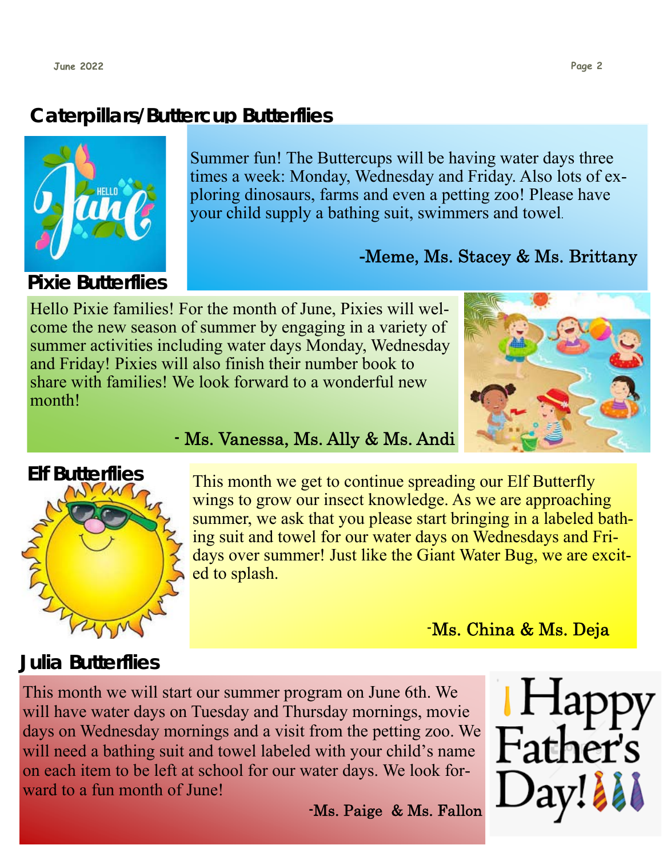# **Caterpillars/Buttercup Butterflies**



Summer fun! The Buttercups will be having water days three times a week: Monday, Wednesday and Friday. Also lots of exploring dinosaurs, farms and even a petting zoo! Please have your child supply a bathing suit, swimmers and towel.

# **-**Meme, Ms. Stacey & Ms. Brittany

Hello Pixie families! For the month of June, Pixies will welcome the new season of summer by engaging in a variety of summer activities including water days Monday, Wednesday and Friday! Pixies will also finish their number book to share with families! We look forward to a wonderful new month!



### - Ms. Vanessa, Ms. Ally & Ms. Andi



This month we get to continue spreading our Elf Butterfly wings to grow our insect knowledge. As we are approaching summer, we ask that you please start bringing in a labeled bathing suit and towel for our water days on Wednesdays and Fridays over summer! Just like the Giant Water Bug, we are excited to splash.

-Ms. China & Ms. Deja

# **Julia Butterflies**

This month we will start our summer program on June 6th. We will have water days on Tuesday and Thursday mornings, movie days on Wednesday mornings and a visit from the petting zoo. We will need a bathing suit and towel labeled with your child's name on each item to be left at school for our water days. We look forward to a fun month of June!

-Ms. Paige & Ms. Fallon

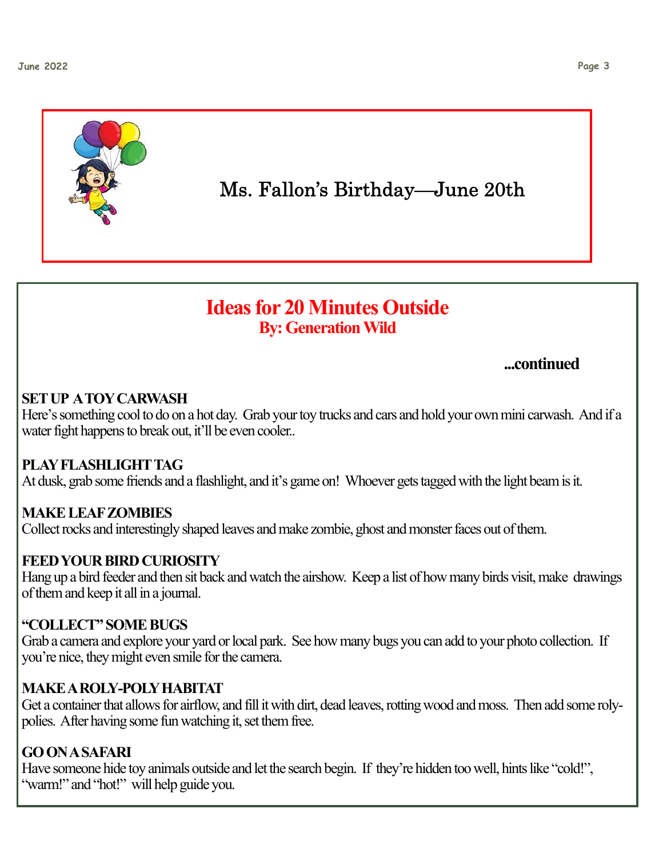

Ms. Fallon's Birthday—June 20th

# **Ideas for 20 Minutes Outside By: Generation Wild**

## **...continued**

## **SET UP A TOY CARWASH**

Here's something cool to do on a hot day. Grab your toy trucks and cars and hold your own mini carwash. And if a water fight happens to break out, it'll be even cooler..

### **PLAY FLASHLIGHT TAG**

At dusk, grab some friends and a flashlight, and it's game on! Whoever gets tagged with the light beam is it.

### **MAKE LEAF ZOMBIES**

Collect rocks and interestingly shaped leaves and make zombie, ghost and monster faces out of them.

### **FEED YOUR BIRD CURIOSITY**

Hang up a bird feeder and then sit back and watch the airshow. Keep a list of how many birds visit, make drawings of them and keep it all in a journal.

### **"COLLECT" SOME BUGS**

Grab a camera and explore your yard or local park. See how many bugs you can add to your photo collection. If you're nice, they might even smile for the camera.

### **MAKE A ROLY-POLY HABITAT**

Get a container that allows for airflow, and fill it with dirt, dead leaves, rotting wood and moss. Then add some rolypolies. After having some fun watching it, set them free.

### **GO ON A SAFARI**

Have someone hide toy animals outside and let the search begin. If they're hidden too well, hints like "cold!", "warm!" and "hot!" will help guide you.